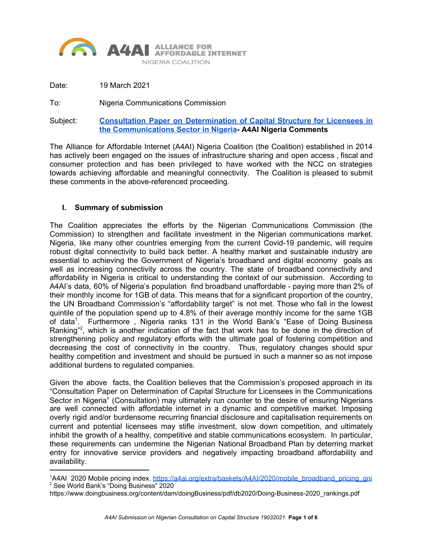

Date: 19 March 2021

To: Nigeria Communications Commission

Subject: **Consultation Paper on [Determination](https://www.ncc.gov.ng/media-centre/public-notices/946-consultation-paper-on-the-determination-of-capital-structure-of-licensees-in-the-communications-sector-in-nigeria) of Capital Structure for Licensees in the [Communications](https://www.ncc.gov.ng/media-centre/public-notices/946-consultation-paper-on-the-determination-of-capital-structure-of-licensees-in-the-communications-sector-in-nigeria) Sector in Nigeria- A4AI Nigeria Comments**

The Alliance for Affordable Internet (A4AI) Nigeria Coalition (the Coalition) established in 2014 has actively been engaged on the issues of infrastructure sharing and open access , fiscal and consumer protection and has been privileged to have worked with the NCC on strategies towards achieving affordable and meaningful connectivity. The Coalition is pleased to submit these comments in the above-referenced proceeding.

#### **I. Summary of submission**

The Coalition appreciates the efforts by the Nigerian Communications Commission (the Commission) to strengthen and facilitate investment in the Nigerian communications market. Nigeria, like many other countries emerging from the current Covid-19 pandemic, will require robust digital connectivity to build back better. A healthy market and sustainable industry are essential to achieving the Government of Nigeria's broadband and digital economy goals as well as increasing connectivity across the country. The state of broadband connectivity and affordability in Nigeria is critical to understanding the context of our submission. According to A4AI's data, 60% of Nigeria's population find broadband unaffordable - paying more than 2% of their monthly income for 1GB of data. This means that for a significant proportion of the country, the UN Broadband Commission's "affordability target" is not met. Those who fall in the lowest quintile of the population spend up to 4.8% of their average monthly income for the same 1GB of data<sup>1</sup>. Furthermore, Nigeria ranks 131 in the World Bank's "Ease of Doing Business Ranking"<sup>2</sup>, which is another indication of the fact that work has to be done in the direction of strengthening policy and regulatory efforts with the ultimate goal of fostering competition and decreasing the cost of connectivity in the country. Thus, regulatory changes should spur healthy competition and investment and should be pursued in such a manner so as not impose additional burdens to regulated companies.

Given the above facts, the Coalition believes that the Commission's proposed approach in its "Consultation Paper on Determination of Capital Structure for Licensees in the Communications Sector in Nigeria" (Consultation) may ultimately run counter to the desire of ensuring Nigerians are well connected with affordable internet in a dynamic and competitive market. Imposing overly rigid and/or burdensome recurring financial disclosure and capitalisation requirements on current and potential licensees may stifle investment, slow down competition, and ultimately inhibit the growth of a healthy, competitive and stable communications ecosystem. In particular, these requirements can undermine the Nigerian National Broadband Plan by deterring market entry for innovative service providers and negatively impacting broadband affordability and availability.

<sup>&</sup>lt;sup>1</sup>A4AI 2020 Mobile pricing index. [https://a4ai.org/extra/baskets/A4AI/2020/mobile\\_broadband\\_pricing\\_gni](https://a4ai.org/extra/baskets/A4AI/2020/mobile_broadband_pricing_gni) <sup>2</sup> See World Bank's "Doing Business" 2020

https://www.doingbusiness.org/content/dam/doingBusiness/pdf/db2020/Doing-Business-2020\_rankings.pdf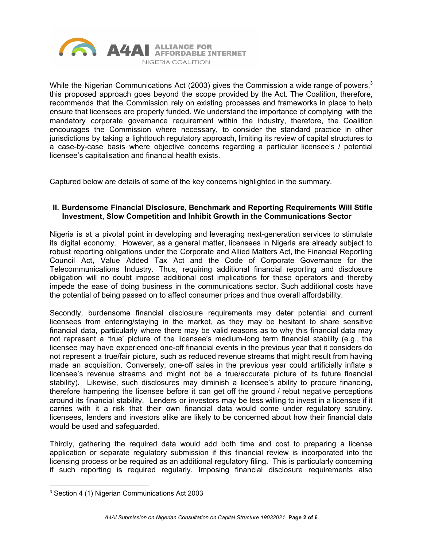

While the Nigerian Communications Act (2003) gives the Commission a wide range of powers,<sup>3</sup> this proposed approach goes beyond the scope provided by the Act. The Coalition, therefore, recommends that the Commission rely on existing processes and frameworks in place to help ensure that licensees are properly funded. We understand the importance of complying with the mandatory corporate governance requirement within the industry, therefore, the Coalition encourages the Commission where necessary, to consider the standard practice in other jurisdictions by taking a lighttouch regulatory approach, limiting its review of capital structures to a case-by-case basis where objective concerns regarding a particular licensee's / potential licensee's capitalisation and financial health exists.

Captured below are details of some of the key concerns highlighted in the summary.

### **II. Burdensome Financial Disclosure, Benchmark and Reporting Requirements Will Stifle Investment, Slow Competition and Inhibit Growth in the Communications Sector**

Nigeria is at a pivotal point in developing and leveraging next-generation services to stimulate its digital economy. However, as a general matter, licensees in Nigeria are already subject to robust reporting obligations under the Corporate and Allied Matters Act, the Financial Reporting Council Act, Value Added Tax Act and the Code of Corporate Governance for the Telecommunications Industry. Thus, requiring additional financial reporting and disclosure obligation will no doubt impose additional cost implications for these operators and thereby impede the ease of doing business in the communications sector. Such additional costs have the potential of being passed on to affect consumer prices and thus overall affordability.

Secondly, burdensome financial disclosure requirements may deter potential and current licensees from entering/staying in the market, as they may be hesitant to share sensitive financial data, particularly where there may be valid reasons as to why this financial data may not represent a 'true' picture of the licensee's medium-long term financial stability (e.g., the licensee may have experienced one-off financial events in the previous year that it considers do not represent a true/fair picture, such as reduced revenue streams that might result from having made an acquisition. Conversely, one-off sales in the previous year could artificially inflate a licensee's revenue streams and might not be a true/accurate picture of its future financial stability). Likewise, such disclosures may diminish a licensee's ability to procure financing, therefore hampering the licensee before it can get off the ground / rebut negative perceptions around its financial stability. Lenders or investors may be less willing to invest in a licensee if it carries with it a risk that their own financial data would come under regulatory scrutiny. licensees, lenders and investors alike are likely to be concerned about how their financial data would be used and safeguarded.

Thirdly, gathering the required data would add both time and cost to preparing a license application or separate regulatory submission if this financial review is incorporated into the licensing process or be required as an additional regulatory filing. This is particularly concerning if such reporting is required regularly. Imposing financial disclosure requirements also

<sup>3</sup> Section 4 (1) Nigerian Communications Act 2003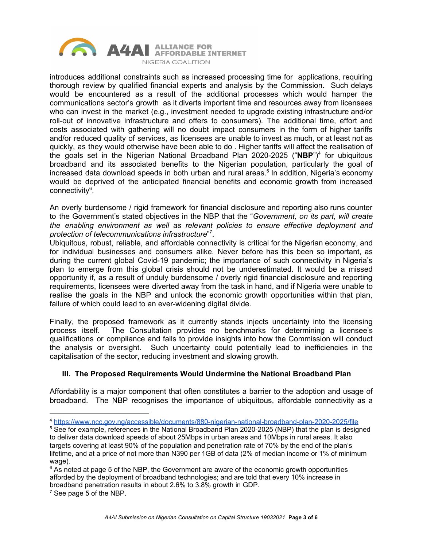

introduces additional constraints such as increased processing time for applications, requiring thorough review by qualified financial experts and analysis by the Commission. Such delays would be encountered as a result of the additional processes which would hamper the communications sector's growth as it diverts important time and resources away from licensees who can invest in the market (e.g., investment needed to upgrade existing infrastructure and/or roll-out of innovative infrastructure and offers to consumers). The additional time, effort and costs associated with gathering will no doubt impact consumers in the form of higher tariffs and/or reduced quality of services, as licensees are unable to invest as much, or at least not as quickly, as they would otherwise have been able to do . Higher tariffs will affect the realisation of the goals set in the Nigerian National Broadband Plan 2020-2025 ("NBP")<sup>4</sup> for ubiquitous broadband and its associated benefits to the Nigerian population, particularly the goal of increased data download speeds in both urban and rural areas. 5 In addition, Nigeria's economy would be deprived of the anticipated financial benefits and economic growth from increased connectivity<sup>6</sup>.

An overly burdensome / rigid framework for financial disclosure and reporting also runs counter to the Government's stated objectives in the NBP that the "*Government, on its part, will create the enabling environment as well as relevant policies to ensure effective deployment and protection of telecommunications infrastructure*" 7 .

Ubiquitous, robust, reliable, and affordable connectivity is critical for the Nigerian economy, and for individual businesses and consumers alike. Never before has this been so important, as during the current global Covid-19 pandemic; the importance of such connectivity in Nigeria's plan to emerge from this global crisis should not be underestimated. It would be a missed opportunity if, as a result of unduly burdensome / overly rigid financial disclosure and reporting requirements, licensees were diverted away from the task in hand, and if Nigeria were unable to realise the goals in the NBP and unlock the economic growth opportunities within that plan, failure of which could lead to an ever-widening digital divide.

Finally, the proposed framework as it currently stands injects uncertainty into the licensing process itself. The Consultation provides no benchmarks for determining a licensee's qualifications or compliance and fails to provide insights into how the Commission will conduct the analysis or oversight. Such uncertainty could potentially lead to inefficiencies in the capitalisation of the sector, reducing investment and slowing growth.

# **III. The Proposed Requirements Would Undermine the National Broadband Plan**

Affordability is a major component that often constitutes a barrier to the adoption and usage of broadband. The NBP recognises the importance of ubiquitous, affordable connectivity as a

<sup>4</sup> <https://www.ncc.gov.ng/accessible/documents/880-nigerian-national-broadband-plan-2020-2025/file>

<sup>&</sup>lt;sup>5</sup> See for example, references in the National Broadband Plan 2020-2025 (NBP) that the plan is designed to deliver data download speeds of about 25Mbps in urban areas and 10Mbps in rural areas. It also targets covering at least 90% of the population and penetration rate of 70% by the end of the plan's lifetime, and at a price of not more than N390 per 1GB of data (2% of median income or 1% of minimum wage).

 $6$  As noted at page 5 of the NBP, the Government are aware of the economic growth opportunities afforded by the deployment of broadband technologies; and are told that every 10% increase in broadband penetration results in about 2.6% to 3.8% growth in GDP.

 $<sup>7</sup>$  See page 5 of the NBP.</sup>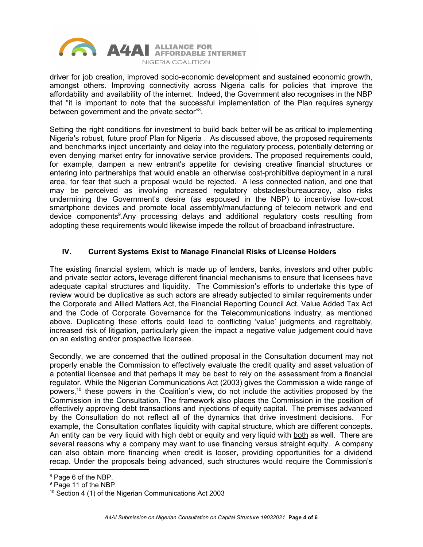

driver for job creation, improved socio-economic development and sustained economic growth, amongst others. Improving connectivity across Nigeria calls for policies that improve the affordability and availability of the internet. Indeed, the Government also recognises in the NBP that "it is important to note that the successful implementation of the Plan requires synergy between government and the private sector"<sup>8</sup>.

Setting the right conditions for investment to build back better will be as critical to implementing Nigeria's robust, future proof Plan for Nigeria . As discussed above, the proposed requirements and benchmarks inject uncertainty and delay into the regulatory process, potentially deterring or even denying market entry for innovative service providers. The proposed requirements could, for example, dampen a new entrant's appetite for devising creative financial structures or entering into partnerships that would enable an otherwise cost-prohibitive deployment in a rural area, for fear that such a proposal would be rejected. A less connected nation, and one that may be perceived as involving increased regulatory obstacles/bureaucracy, also risks undermining the Government's desire (as espoused in the NBP) to incentivise low-cost smartphone devices and promote local assembly/manufacturing of telecom network and end device components<sup>9</sup>. Any processing delays and additional regulatory costs resulting from adopting these requirements would likewise impede the rollout of broadband infrastructure.

## **IV. Current Systems Exist to Manage Financial Risks of License Holders**

The existing financial system, which is made up of lenders, banks, investors and other public and private sector actors, leverage different financial mechanisms to ensure that licensees have adequate capital structures and liquidity. The Commission's efforts to undertake this type of review would be duplicative as such actors are already subjected to similar requirements under the Corporate and Allied Matters Act, the Financial Reporting Council Act, Value Added Tax Act and the Code of Corporate Governance for the Telecommunications Industry, as mentioned above. Duplicating these efforts could lead to conflicting 'value' judgments and regrettably, increased risk of litigation, particularly given the impact a negative value judgement could have on an existing and/or prospective licensee.

Secondly, we are concerned that the outlined proposal in the Consultation document may not properly enable the Commission to effectively evaluate the credit quality and asset valuation of a potential licensee and that perhaps it may be best to rely on the assessment from a financial regulator. While the Nigerian Communications Act (2003) gives the Commission a wide range of powers,<sup>10</sup> these powers in the Coalition's view, do not include the activities proposed by the Commission in the Consultation. The framework also places the Commission in the position of effectively approving debt transactions and injections of equity capital. The premises advanced by the Consultation do not reflect all of the dynamics that drive investment decisions. For example, the Consultation conflates liquidity with capital structure, which are different concepts. An entity can be very liquid with high debt or equity and very liquid with both as well. There are several reasons why a company may want to use financing versus straight equity. A company can also obtain more financing when credit is looser, providing opportunities for a dividend recap. Under the proposals being advanced, such structures would require the Commission's

<sup>&</sup>lt;sup>8</sup> Page 6 of the NBP.

<sup>&</sup>lt;sup>9</sup> Page 11 of the NBP.

<sup>&</sup>lt;sup>10</sup> Section 4 (1) of the Nigerian Communications Act 2003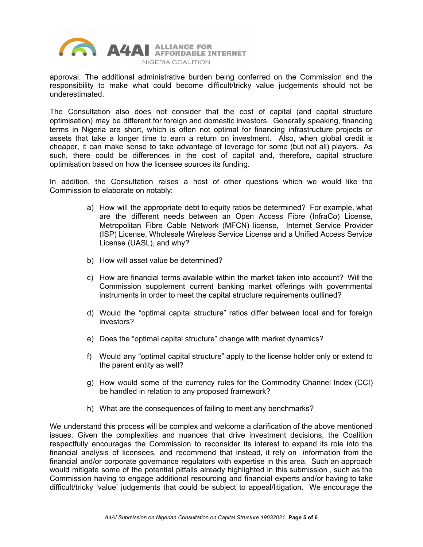

approval. The additional administrative burden being conferred on the Commission and the responsibility to make what could become difficult/tricky value judgements should not be underestimated.

The Consultation also does not consider that the cost of capital (and capital structure optimisation) may be different for foreign and domestic investors. Generally speaking, financing terms in Nigeria are short, which is often not optimal for financing infrastructure projects or assets that take a longer time to earn a return on investment. Also, when global credit is cheaper, it can make sense to take advantage of leverage for some (but not all) players. As such, there could be differences in the cost of capital and, therefore, capital structure optimisation based on how the licensee sources its funding.

In addition, the Consultation raises a host of other questions which we would like the Commission to elaborate on notably:

- a) How will the appropriate debt to equity ratios be determined? For example, what are the different needs between an Open Access Fibre (InfraCo) License, Metropolitan Fibre Cable Network (MFCN) license, Internet Service Provider (ISP) License, Wholesale Wireless Service License and a Unified Access Service License (UASL), and why?
- b) How will asset value be determined?
- c) How are financial terms available within the market taken into account? Will the Commission supplement current banking market offerings with governmental instruments in order to meet the capital structure requirements outlined?
- d) Would the "optimal capital structure" ratios differ between local and for foreign investors?
- e) Does the "optimal capital structure" change with market dynamics?
- f) Would any "optimal capital structure" apply to the license holder only or extend to the parent entity as well?
- g) How would some of the currency rules for the Commodity Channel Index (CCI) be handled in relation to any proposed framework?
- h) What are the consequences of failing to meet any benchmarks?

We understand this process will be complex and welcome a clarification of the above mentioned issues. Given the complexities and nuances that drive investment decisions, the Coalition respectfully encourages the Commission to reconsider its interest to expand its role into the financial analysis of licensees, and recommend that instead, it rely on information from the financial and/or corporate governance regulators with expertise in this area. Such an approach would mitigate some of the potential pitfalls already highlighted in this submission , such as the Commission having to engage additional resourcing and financial experts and/or having to take difficult/tricky 'value' judgements that could be subject to appeal/litigation. We encourage the